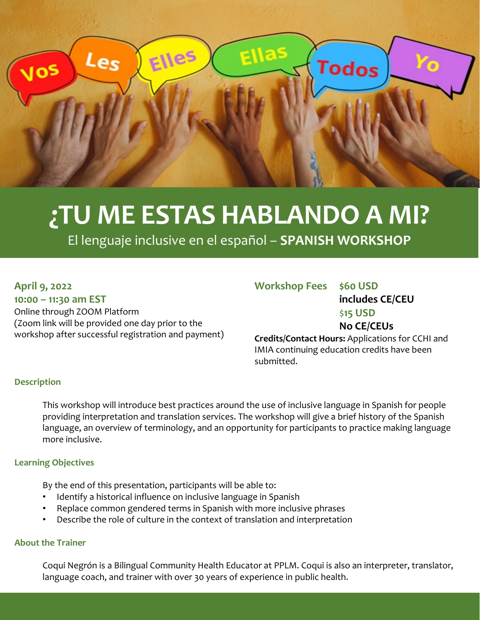

# **¿TU ME ESTAS HABLANDO A MI?**

El lenguaje inclusive en el español – **SPANISH WORKSHOP**

## **April 9, 2022**

**10:00 – 11:30 am EST** Online through ZOOM Platform (Zoom link will be provided one day prior to the workshop after successful registration and payment)

| <b>Workshop Fees \$60 USD</b> |                                                         |
|-------------------------------|---------------------------------------------------------|
|                               | includes CE/CEU                                         |
|                               | $$15$ USD                                               |
|                               | <b>No CE/CEUs</b>                                       |
|                               | <b>Credits/Contact Hours: Applications for CCHI and</b> |
|                               |                                                         |

IMIA continuing education credits have been submitted.

## **Description**

This workshop will introduce best practices around the use of inclusive language in Spanish for people providing interpretation and translation services. The workshop will give a brief history of the Spanish language, an overview of terminology, and an opportunity for participants to practice making language more inclusive.

## **Learning Objectives**

By the end of this presentation, participants will be able to:

- Identify a historical influence on inclusive language in Spanish
- Replace common gendered terms in Spanish with more inclusive phrases
- Describe the role of culture in the context of translation and interpretation

## **About the Trainer**

Coqui Negrón is a Bilingual Community Health Educator at PPLM. Coqui is also an interpreter, translator, language coach, and trainer with over 30 years of experience in public health.